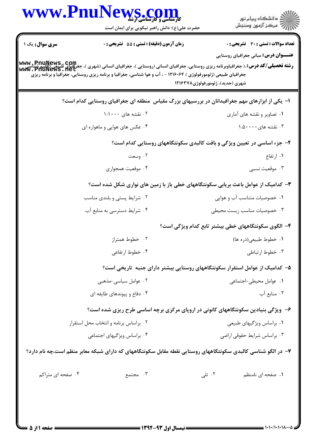|                   | WWW.PnuNews.com<br>حضرت علی(ع): دانش راهبر نیکویی برای ایمان است                                                | ڪ دانشڪاه پيا <sub>م</sub> نور<br>۾ سرڪز آزمون وسنڊش                                                                                                                                                                                                                                                                            |
|-------------------|-----------------------------------------------------------------------------------------------------------------|---------------------------------------------------------------------------------------------------------------------------------------------------------------------------------------------------------------------------------------------------------------------------------------------------------------------------------|
| سری سوال: یک ۱    | زمان آزمون (دقیقه) : تستی : 55 گشریحی : 0                                                                       | <b>تعداد سوالات : تستي : 30 ٪ تشريحي : 0</b>                                                                                                                                                                                                                                                                                    |
|                   | جغرافیای طبیعی (ژئومورفولوژی ) ۱۲۱۶۰۶۴ - ، آب و هوا شناسی، جغرافیا و برنامه ریزی روستایی، جغرافیا و برنامه ریزی | <b>عنـــوان درس:</b> مبانی جغرافیای روستایی<br><b>رشته تحصیلی/کد درس: ،( جغرافیاوبرنامه ریزی روستایی، جغرافیای انسانی (روستایی )، جغرافیای شدی (وقت پیم است) (وقت<br/>ر<b>شته تحصیلی/کد درس: ،</b>( جغرافیاوبرنامه ریزی روستایی، جغرافیای انسانی (روستایی )، جغرافیای شبعی (وقت میلادی)</b><br>شهری (جدید)، ژئومورفولوژی۱۲۱۶۳۷۸ |
|                   |                                                                                                                 | ا– یکی از ابزارهای مهم جغرافیدانان در بررسیهای بزرگ مقیاس ًمنطقه ای جغرافیای روستایی کدام است؟                                                                                                                                                                                                                                  |
|                   | ۰۲ نقشه های ۱:۱۰۰۰                                                                                              | ۰۱ تصاویر و نقشه های آماری                                                                                                                                                                                                                                                                                                      |
|                   | ۰۴ عکس های هوایی و ماهواره ای                                                                                   | ۰۳ نقشه های $\cdots$ ۰:۵۰                                                                                                                                                                                                                                                                                                       |
|                   |                                                                                                                 | ۲- جزء اساسی در تعیین ویژگی و بافت کالبدی سکونتگاههای روستایی کدام است؟                                                                                                                                                                                                                                                         |
|                   | ۰۲ وسعت                                                                                                         | ۰۱ ارتفاع                                                                                                                                                                                                                                                                                                                       |
|                   | ۰۴ موقعیت همجواری                                                                                               | ۰۳ موقعیت نسبی                                                                                                                                                                                                                                                                                                                  |
|                   |                                                                                                                 | ۳- کدامیک از عوامل باعث بریابی سکونتگاههای خطی باز با زمین های نواری شکل شده است؟                                                                                                                                                                                                                                               |
|                   | ۰۲ شرایط پستی و بلندی مناسب                                                                                     | ۰۱ خصوصیات متناسب آب و هوایی                                                                                                                                                                                                                                                                                                    |
|                   | ۰۴ شرایط دسترسی به منابع آب                                                                                     | ۰۳ خصوصیات مناسب زیست محیطی                                                                                                                                                                                                                                                                                                     |
|                   |                                                                                                                 | ۴– الگوی سکونتگاههای خطی بیشتر تابع کدام ویژگی است؟                                                                                                                                                                                                                                                                             |
|                   | ۰۲ خطوط همتراز                                                                                                  | ۰۱ خطوط طبیعی(دره ها)                                                                                                                                                                                                                                                                                                           |
|                   | ۰۴ خطوط ارتفاعی                                                                                                 | ۰۳ خطوط ارتباطی                                                                                                                                                                                                                                                                                                                 |
|                   |                                                                                                                 | ۵– کدامیک از عوامل استقرار سکونتگاههای روستایی بیشتر دارای جنبه تاریخی است؟                                                                                                                                                                                                                                                     |
|                   | ۰۲ عوامل سیاسی-مذهبی                                                                                            | ۰۱ عوامل محیطی-اجتماعی                                                                                                                                                                                                                                                                                                          |
|                   | ۰۴ دفاع و پیوندهای طایفه ای                                                                                     | ۰۳ منابع آب                                                                                                                                                                                                                                                                                                                     |
|                   |                                                                                                                 | ۶- ویژگی بنیادین سکونتگاههای کانونی در اروپای مرکزی برچه اساسی طرح ریزی شده است؟                                                                                                                                                                                                                                                |
|                   | ۰۲ براساس برنامه و انتخاب محل استقرار                                                                           | ۰۱ براساس ویژگیهای طبیعی                                                                                                                                                                                                                                                                                                        |
|                   | ۰۴ براساس ویژگیهای اجتماعی                                                                                      | ۰۳ براساس شرایط حقوقی اراضی                                                                                                                                                                                                                                                                                                     |
|                   |                                                                                                                 | ۷– در الگو شناسی کالبدی سکونتگاههای روستایی نقطه مقابل سکونتگاههای که دارای شبکه معابر منظم است،چه نام دارد؟                                                                                                                                                                                                                    |
| ۰۴ صفحه ای متراکم | ۰۳ مجتمع                                                                                                        | ۰۲ تلی<br>۰۱ صفحه ای نامنظم                                                                                                                                                                                                                                                                                                     |
|                   |                                                                                                                 |                                                                                                                                                                                                                                                                                                                                 |
|                   |                                                                                                                 |                                                                                                                                                                                                                                                                                                                                 |

 $= 1.1 - 11.1 - 11.1$ 

٠٨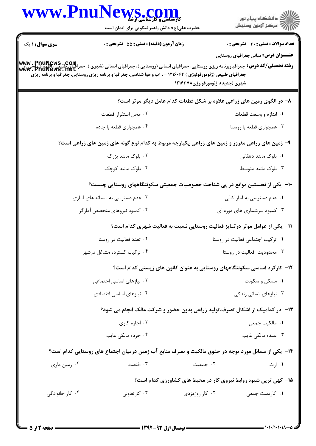|                        | WWW.PnuNews.com<br>حضرت علی(ع): دانش راهبر نیکویی برای ایمان است                                                                                                                                                                                                                                                  |                                                                             | ڪ دانشڪاه پيا <sub>م</sub> نور<br>۾ سرڪز آزمون وسنڊش |
|------------------------|-------------------------------------------------------------------------------------------------------------------------------------------------------------------------------------------------------------------------------------------------------------------------------------------------------------------|-----------------------------------------------------------------------------|------------------------------------------------------|
| <b>سری سوال :</b> ۱ یک | زمان آزمون (دقیقه) : تستی : 55 آتشریحی : 0                                                                                                                                                                                                                                                                        |                                                                             | <b>تعداد سوالات : تستی : 30 ٪ تشریحی : 0</b>         |
|                        | <b>www . PnuNews .com.</b><br><b>رشته تحصیلی/کد درس:</b> جغرافیاوبرنامه ریزی روستایی، جغرافیای انسانی (روستایی )، جغرافیای انسانی (شهری )، جغرافیای طبیعی (اقلیم شناسی)<br>www . PnuNews . net<br>جغرافیای طبیعی (ژئومورفولوژی ) ۱۲۱۶۰۶۴ - ، آب و هوا شناسی، جغرافیا و برنامه ریزی روستایی، جغرافیا و برنامه ریزی | شهری (جدید)، ژئومورفولوژی۱۲۱۶۳۷۸                                            | <b>عنـــوان درس:</b> مبانی جغرافیای روستایی          |
|                        |                                                                                                                                                                                                                                                                                                                   | ۸– در الگوی زمین های زراعی علاوه بر شکل قطعات کدام عامل دیگر موثر است؟      |                                                      |
|                        | ۰۲ محل استقرار قطعات                                                                                                                                                                                                                                                                                              |                                                                             | ۰۱ اندازه و وسعت قطعات                               |
|                        | ۰۴ همجواری قطعه با جاده                                                                                                                                                                                                                                                                                           |                                                                             | ۰۳ همجواري قطعه با روستا                             |
|                        | ۹- زمین های زراعی مفروز و زمین های زراعی یکپارچه مربوط به کدام نوع گونه های زمین های زراعی است؟                                                                                                                                                                                                                   |                                                                             |                                                      |
|                        | ۰۲ بلوک مانند بزرگ                                                                                                                                                                                                                                                                                                |                                                                             | ۰۱ بلوک مانند دهقانی                                 |
|                        | ۰۴ بلوک مانند کوچک                                                                                                                                                                                                                                                                                                |                                                                             | ۰۳ بلوک مانند متوسط                                  |
|                        | ∙ا− یکی از نخستین موانع در پی شناخت خصوصیات جمعیتی سکونتگاههای روستایی چیست؟                                                                                                                                                                                                                                      |                                                                             |                                                      |
|                        | ۰۲ عدم دسترسی به سامانه های آماری                                                                                                                                                                                                                                                                                 |                                                                             | ۰۱ عدم دسترسی به آمار کافی                           |
|                        | ۰۴ کمبود نیروهای متخصص آمارگر                                                                                                                                                                                                                                                                                     |                                                                             | ۰۳ کمبود سرشماری های دوره ای                         |
|                        |                                                                                                                                                                                                                                                                                                                   | 11- یکی از عوامل موثر در تمایز فعالیت روستایی نسبت به فعالیت شهری کدام است؟ |                                                      |
|                        | ۰۲ تعدد فعالیت در روستا                                                                                                                                                                                                                                                                                           |                                                                             | ۰۱ ترکیب اجتماعی فعالیت در روستا                     |
|                        | ۰۴ ترکیب گسترده مشاغل درشهر                                                                                                                                                                                                                                                                                       |                                                                             | ۰۳ محدودیت فعالیت در روستا                           |
|                        |                                                                                                                                                                                                                                                                                                                   | ۱۲- کارکرد اساسی سکونتگاههای روستایی به عنوان کانون های زیستی کدام است؟     |                                                      |
|                        | ۰۲ نیازهای اساسی اجتماعی                                                                                                                                                                                                                                                                                          |                                                                             | ۰۱ مسکن و سکونت                                      |
|                        | ۰۴ نیازهای اساسی اقتصادی                                                                                                                                                                                                                                                                                          |                                                                             | ۰۳ نیازهای انسانی زندگی                              |
|                        |                                                                                                                                                                                                                                                                                                                   | ۱۳- در کدامیک از اشکال تصرف،تولید زراعی بدون حضور و شرکت مالک انجام می شود؟ |                                                      |
|                        | ۰۲ اجاره کاری                                                                                                                                                                                                                                                                                                     |                                                                             | ٠١. مالكيت جمعي                                      |
|                        | ۰۴ خرده مالکی غایب                                                                                                                                                                                                                                                                                                |                                                                             | ۰۳ عمده مالکی غایب                                   |
|                        | ۱۴- یکی از مسائل مورد توجه در حقوق مالکیت و تصرف منابع آب زمین درمیان اجتماع های روستایی کدام است؟                                                                                                                                                                                                                |                                                                             |                                                      |
| ۰۴ زمین داری           | ۰۳ اقتصاد                                                                                                                                                                                                                                                                                                         | ۰۲ جمعیت                                                                    | ۰۱ ارث                                               |
|                        |                                                                                                                                                                                                                                                                                                                   | ۱۵– کهن ترین شیوه روابط نیروی کار در محیط های کشاورزی کدام است؟             |                                                      |
| ۰۴ کار خانوادگی        | ۰۳ کارتعاونی                                                                                                                                                                                                                                                                                                      | ۰۲ کار روزمزدی                                                              | ۰۱ کاردست جمع <sub>ی</sub>                           |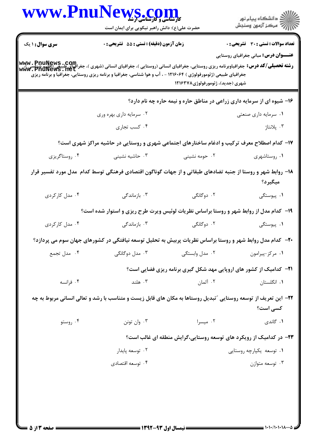|                        | حضرت علی(ع): دانش راهبر نیکویی برای ایمان است                                                                                                                                                                                                                                               |                                  | ِ<br>∭ دانشڪاه پيام نور<br><mark>√</mark> مرڪز آزمون وسنڊش                 |
|------------------------|---------------------------------------------------------------------------------------------------------------------------------------------------------------------------------------------------------------------------------------------------------------------------------------------|----------------------------------|----------------------------------------------------------------------------|
| <b>سری سوال : ۱ یک</b> | زمان آزمون (دقيقه) : تستى : 55 تشريحى : 0                                                                                                                                                                                                                                                   |                                  | <b>تعداد سوالات : تستی : 30 ٪ تشریحی : 0</b>                               |
|                        | <b>رشته تحصیلی/کد درس:</b> جغرافیاوبرنامه ریزی روستایی، جغرافیای انسانی (روستایی )، جغرافیای انسانی (شهری )، جغرافیای طبیعی (اقلیم شناسی)،<br><b>www . PnuNews . net</b><br>جغرافیای طبیعی (ژئومورفولوژی ) ۱۲۱۶۰۶۴ - ، آب و هوا شناسی، جغرافیا و برنامه ریزی روستایی، جغرافیا و برنامه ریزی | شهری (جدید)، ژئومورفولوژی۱۲۱۶۳۷۸ | <b>عنـــوان درس:</b> مبانی جغرافیای روستایی                                |
|                        |                                                                                                                                                                                                                                                                                             |                                  | ۱۶- شیوه ای از سرمایه داری زراعی در مناطق حاره و نیمه حاره چه نام دارد؟    |
|                        | ۰۲ سرمایه داری بهره وری                                                                                                                                                                                                                                                                     |                                  | ۰۱ سرمایه داری صنعتی                                                       |
|                        | ۰۴ کسب تجاری                                                                                                                                                                                                                                                                                |                                  | ۰۳ پلانتاژ                                                                 |
|                        | ۱۷– کدام اصطلاح معرف ترکیب و ادغام ساختارهای اجتماعی شهری و روستایی در حاشیه مراکز شهری است؟                                                                                                                                                                                                |                                  |                                                                            |
| ۰۴ روستاگريزي          | ۰۳ حاشیه نشینی                                                                                                                                                                                                                                                                              | ۰۲ حومه نشینی                    | ۰۱ روستاشهری                                                               |
|                        | ۱۸– روابط شهر و روستا از جنبه تضادهای طبقاتی و از جهات گوناگون اقتصادی فرهنگی توسط کدام ًمدل مورد تفسیر قرار                                                                                                                                                                                |                                  | ميگيرد؟                                                                    |
| ۰۴ مدل کارکردی         | ۰۳ بازماندگی                                                                                                                                                                                                                                                                                | ۲. دوگانگی                       | ۰۱ پیوستگی                                                                 |
|                        | ۱۹- کدام مدل از روابط شهر و روستا براساس نظریات لوئیس ویرت طرح ریزی و استوار شده است؟                                                                                                                                                                                                       |                                  |                                                                            |
| ۰۴ مدل کارگردی         | ۰۳ بازماندگی                                                                                                                                                                                                                                                                                | ۲. دوگانگی                       | ۰۱ پیوستگی                                                                 |
|                        | +۲- کدام مدل روابط شهر و روستا براساس نظریات پربیش به تحلیل توسعه نیافتگی در کشورهای جهان سوم می پردازد؟                                                                                                                                                                                    |                                  |                                                                            |
| ۰۴ مدل تجمع            | ۰۳ مدل دوگانگی                                                                                                                                                                                                                                                                              | ۰۲ مدل وابستگی                   | ٠١ مركز-پيرامون                                                            |
|                        |                                                                                                                                                                                                                                                                                             |                                  | <b>۲۱</b> - کدامیک از کشور های اروپایی مهد شکل گیری برنامه ریزی فضایی است؟ |
| ۰۴ فرانسه              | ۰۳ هلند                                                                                                                                                                                                                                                                                     | ۰۲ آلمان                         | ۰۱ انگلستان                                                                |
|                        | ۲۲– این تعریف از توسعه روستایی ″تبدیل روستاها به مکان های قابل زیست و متناسب با رشد و تعالی انسانی مربوط به چه                                                                                                                                                                              |                                  | کسی است؟                                                                   |
| ۰۴ روستو               | ۰۳ وان تونن                                                                                                                                                                                                                                                                                 | ۰۲ میسرا                         | ۰۱ گاندی                                                                   |
|                        |                                                                                                                                                                                                                                                                                             |                                  | ۲۳- در کدامیک از رویکرد های توسعه روستایی،گرایش منطقه ای غالب است؟         |
|                        | ۰۲ توسعه پايدار                                                                                                                                                                                                                                                                             |                                  | ۰۱ توسعه یکپارچه روستایی                                                   |
|                        | ۰۴ توسعه اقتصادي                                                                                                                                                                                                                                                                            |                                  | ۰۳ توسعه متوازن                                                            |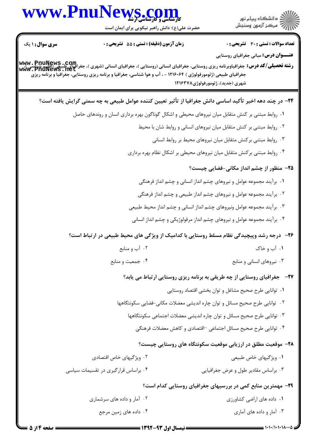

 $=$   $1 \cdot 1 \cdot 1 \cdot 1 \cdot 1 \cdot 1 \cdot 1 \cdot 1$